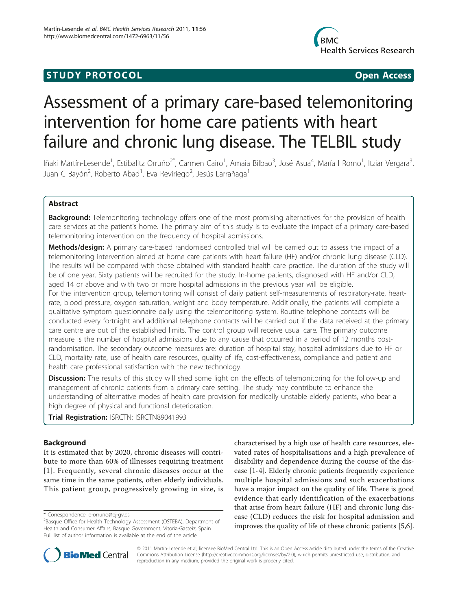# **STUDY PROTOCOL** And the state of the state of the state of the state of the state of the state of the state of the state of the state of the state of the state of the state of the state of the state of the state of the st



# Assessment of a primary care-based telemonitoring intervention for home care patients with heart failure and chronic lung disease. The TELBIL study

lñaki Martín-Lesende<sup>1</sup>, Estibalitz Orruño<sup>2\*</sup>, Carmen Cairo<sup>1</sup>, Amaia Bilbao<sup>3</sup>, José Asua<sup>4</sup>, María I Romo<sup>1</sup>, Itziar Vergara<sup>3</sup> , Juan C Bayón<sup>2</sup>, Roberto Abad<sup>1</sup>, Eva Reviriego<sup>2</sup>, Jesús Larrañaga<sup>1</sup>

# Abstract

**Background:** Telemonitoring technology offers one of the most promising alternatives for the provision of health care services at the patient's home. The primary aim of this study is to evaluate the impact of a primary care-based telemonitoring intervention on the frequency of hospital admissions.

Methods/design: A primary care-based randomised controlled trial will be carried out to assess the impact of a telemonitoring intervention aimed at home care patients with heart failure (HF) and/or chronic lung disease (CLD). The results will be compared with those obtained with standard health care practice. The duration of the study will be of one year. Sixty patients will be recruited for the study. In-home patients, diagnosed with HF and/or CLD, aged 14 or above and with two or more hospital admissions in the previous year will be eligible. For the intervention group, telemonitoring will consist of daily patient self-measurements of respiratory-rate, heartrate, blood pressure, oxygen saturation, weight and body temperature. Additionally, the patients will complete a qualitative symptom questionnaire daily using the telemonitoring system. Routine telephone contacts will be conducted every fortnight and additional telephone contacts will be carried out if the data received at the primary care centre are out of the established limits. The control group will receive usual care. The primary outcome measure is the number of hospital admissions due to any cause that occurred in a period of 12 months postrandomisation. The secondary outcome measures are: duration of hospital stay, hospital admissions due to HF or CLD, mortality rate, use of health care resources, quality of life, cost-effectiveness, compliance and patient and health care professional satisfaction with the new technology.

**Discussion:** The results of this study will shed some light on the effects of telemonitoring for the follow-up and management of chronic patients from a primary care setting. The study may contribute to enhance the understanding of alternative modes of health care provision for medically unstable elderly patients, who bear a high degree of physical and functional deterioration.

Trial Registration: ISRCTN: [ISRCTN89041993](http://www.controlled-trials.com/ISRCTN89041993)

# Background

It is estimated that by 2020, chronic diseases will contribute to more than 60% of illnesses requiring treatment [[1\]](#page-10-0). Frequently, several chronic diseases occur at the same time in the same patients, often elderly individuals. This patient group, progressively growing in size, is

characterised by a high use of health care resources, elevated rates of hospitalisations and a high prevalence of disability and dependence during the course of the disease [[1-4](#page-10-0)]. Elderly chronic patients frequently experience multiple hospital admissions and such exacerbations have a major impact on the quality of life. There is good evidence that early identification of the exacerbations that arise from heart failure (HF) and chronic lung disease (CLD) reduces the risk for hospital admission and improves the quality of life of these chronic patients [\[5,6](#page-10-0)].



© 2011 Martín-Lesende et al; licensee BioMed Central Ltd. This is an Open Access article distributed under the terms of the Creative Commons Attribution License [\(http://creativecommons.org/licenses/by/2.0](http://creativecommons.org/licenses/by/2.0)), which permits unrestricted use, distribution, and reproduction in any medium, provided the original work is properly cited.

<sup>\*</sup> Correspondence: [e-orruno@ej-gv.es](mailto:e-orruno@ej-gv.es)

<sup>2</sup> Basque Office for Health Technology Assessment (OSTEBA), Department of Health and Consumer Affairs, Basque Government, Vitoria-Gasteiz, Spain Full list of author information is available at the end of the article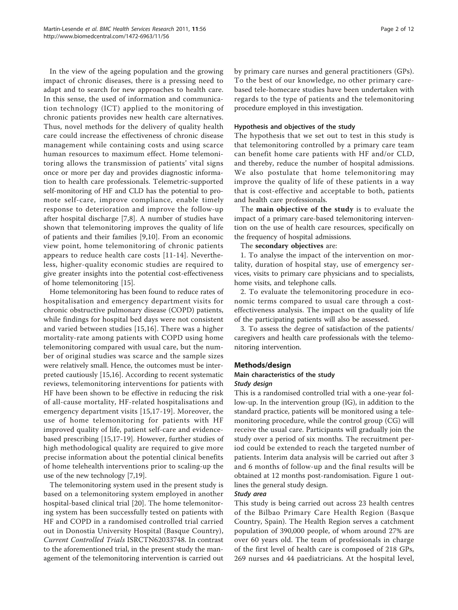In the view of the ageing population and the growing impact of chronic diseases, there is a pressing need to adapt and to search for new approaches to health care. In this sense, the used of information and communication technology (ICT) applied to the monitoring of chronic patients provides new health care alternatives. Thus, novel methods for the delivery of quality health care could increase the effectiveness of chronic disease management while containing costs and using scarce human resources to maximum effect. Home telemonitoring allows the transmission of patients' vital signs once or more per day and provides diagnostic information to health care professionals. Telemetric-supported self-monitoring of HF and CLD has the potential to promote self-care, improve compliance, enable timely response to deterioration and improve the follow-up after hospital discharge [[7,8\]](#page-10-0). A number of studies have shown that telemonitoring improves the quality of life of patients and their families [[9,10](#page-10-0)]. From an economic view point, home telemonitoring of chronic patients appears to reduce health care costs [[11](#page-10-0)-[14](#page-10-0)]. Nevertheless, higher-quality economic studies are required to give greater insights into the potential cost-effectiveness of home telemonitoring [\[15](#page-10-0)].

Home telemonitoring has been found to reduce rates of hospitalisation and emergency department visits for chronic obstructive pulmonary disease (COPD) patients, while findings for hospital bed days were not consistent and varied between studies [[15,16\]](#page-10-0). There was a higher mortality-rate among patients with COPD using home telemonitoring compared with usual care, but the number of original studies was scarce and the sample sizes were relatively small. Hence, the outcomes must be interpreted cautiously [[15,16\]](#page-10-0). According to recent systematic reviews, telemonitoring interventions for patients with HF have been shown to be effective in reducing the risk of all-cause mortality, HF-related hospitalisations and emergency department visits [\[15](#page-10-0),[17](#page-10-0)-[19\]](#page-10-0). Moreover, the use of home telemonitoring for patients with HF improved quality of life, patient self-care and evidencebased prescribing [\[15](#page-10-0),[17](#page-10-0)-[19\]](#page-10-0). However, further studies of high methodological quality are required to give more precise information about the potential clinical benefits of home telehealth interventions prior to scaling-up the use of the new technology [[7](#page-10-0),[19](#page-10-0)].

The telemonitoring system used in the present study is based on a telemonitoring system employed in another hospital-based clinical trial [[20](#page-10-0)]. The home telemonitoring system has been successfully tested on patients with HF and COPD in a randomised controlled trial carried out in Donostia University Hospital (Basque Country), Current Controlled Trials ISRCTN62033748. In contrast to the aforementioned trial, in the present study the management of the telemonitoring intervention is carried out by primary care nurses and general practitioners (GPs). To the best of our knowledge, no other primary carebased tele-homecare studies have been undertaken with regards to the type of patients and the telemonitoring procedure employed in this investigation.

#### Hypothesis and objectives of the study

The hypothesis that we set out to test in this study is that telemonitoring controlled by a primary care team can benefit home care patients with HF and/or CLD, and thereby, reduce the number of hospital admissions. We also postulate that home telemonitoring may improve the quality of life of these patients in a way that is cost-effective and acceptable to both, patients and health care professionals.

The main objective of the study is to evaluate the impact of a primary care-based telemonitoring intervention on the use of health care resources, specifically on the frequency of hospital admissions.

#### The secondary objectives are:

1. To analyse the impact of the intervention on mortality, duration of hospital stay, use of emergency services, visits to primary care physicians and to specialists, home visits, and telephone calls.

2. To evaluate the telemonitoring procedure in economic terms compared to usual care through a costeffectiveness analysis. The impact on the quality of life of the participating patients will also be assessed.

3. To assess the degree of satisfaction of the patients/ caregivers and health care professionals with the telemonitoring intervention.

#### Methods/design

## Main characteristics of the study

#### Study design

This is a randomised controlled trial with a one-year follow-up. In the intervention group (IG), in addition to the standard practice, patients will be monitored using a telemonitoring procedure, while the control group (CG) will receive the usual care. Participants will gradually join the study over a period of six months. The recruitment period could be extended to reach the targeted number of patients. Interim data analysis will be carried out after 3 and 6 months of follow-up and the final results will be obtained at 12 months post-randomisation. Figure [1](#page-2-0) outlines the general study design.

#### Study area

This study is being carried out across 23 health centres of the Bilbao Primary Care Health Region (Basque Country, Spain). The Health Region serves a catchment population of 390,000 people, of whom around 27% are over 60 years old. The team of professionals in charge of the first level of health care is composed of 218 GPs, 269 nurses and 44 paediatricians. At the hospital level,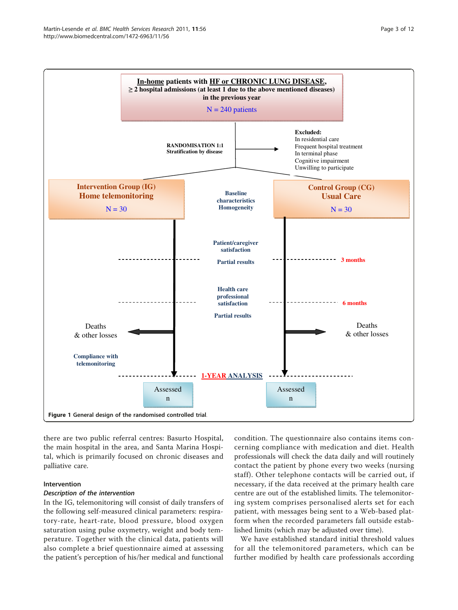<span id="page-2-0"></span>

there are two public referral centres: Basurto Hospital, the main hospital in the area, and Santa Marina Hospital, which is primarily focused on chronic diseases and palliative care.

### Intervention

### Description of the intervention

In the IG, telemonitoring will consist of daily transfers of the following self-measured clinical parameters: respiratory-rate, heart-rate, blood pressure, blood oxygen saturation using pulse oxymetry, weight and body temperature. Together with the clinical data, patients will also complete a brief questionnaire aimed at assessing the patient's perception of his/her medical and functional condition. The questionnaire also contains items concerning compliance with medication and diet. Health professionals will check the data daily and will routinely contact the patient by phone every two weeks (nursing staff). Other telephone contacts will be carried out, if necessary, if the data received at the primary health care centre are out of the established limits. The telemonitoring system comprises personalised alerts set for each patient, with messages being sent to a Web-based platform when the recorded parameters fall outside established limits (which may be adjusted over time).

We have established standard initial threshold values for all the telemonitored parameters, which can be further modified by health care professionals according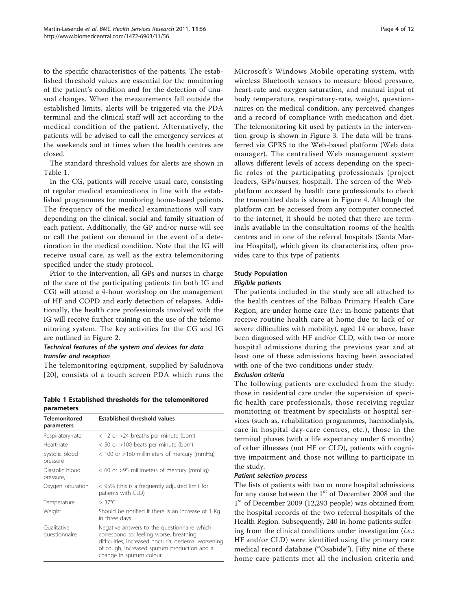to the specific characteristics of the patients. The established threshold values are essential for the monitoring of the patient's condition and for the detection of unusual changes. When the measurements fall outside the established limits, alerts will be triggered via the PDA terminal and the clinical staff will act according to the medical condition of the patient. Alternatively, the patients will be advised to call the emergency services at the weekends and at times when the health centres are closed.

The standard threshold values for alerts are shown in Table 1.

In the CG, patients will receive usual care, consisting of regular medical examinations in line with the established programmes for monitoring home-based patients. The frequency of the medical examinations will vary depending on the clinical, social and family situation of each patient. Additionally, the GP and/or nurse will see or call the patient on demand in the event of a deterioration in the medical condition. Note that the IG will receive usual care, as well as the extra telemonitoring specified under the study protocol.

Prior to the intervention, all GPs and nurses in charge of the care of the participating patients (in both IG and CG) will attend a 4-hour workshop on the management of HF and COPD and early detection of relapses. Additionally, the health care professionals involved with the IG will receive further training on the use of the telemonitoring system. The key activities for the CG and IG are outlined in Figure [2](#page-4-0).

### Technical features of the system and devices for data transfer and reception

The telemonitoring equipment, supplied by Saludnova [[20\]](#page-10-0), consists of a touch screen PDA which runs the

Table 1 Established thresholds for the telemonitored parameters

| <b>Telemonitored</b><br>parameters | <b>Established threshold values</b>                                                                                                                                                                                     |  |
|------------------------------------|-------------------------------------------------------------------------------------------------------------------------------------------------------------------------------------------------------------------------|--|
| Respiratory-rate                   | $<$ 12 or >24 breaths per minute (bpm)                                                                                                                                                                                  |  |
| Heart-rate                         | < 50 or >100 beats per minute (bpm)                                                                                                                                                                                     |  |
| Systolic blood<br>pressure         | $<$ 100 or >160 millimeters of mercury (mmHg)                                                                                                                                                                           |  |
| Diastolic blood<br>pressure,       | < 60 or >95 millimeters of mercury (mmHg)                                                                                                                                                                               |  |
| Oxygen saturation                  | < 95% (this is a frequently adjusted limit for<br>patients with CLD)                                                                                                                                                    |  |
| Temperature                        | $> 37^{\circ}$ C                                                                                                                                                                                                        |  |
| Weight                             | Should be notified if there is an increase of 1 Kg<br>in three days                                                                                                                                                     |  |
| Oualitative<br>questionnaire       | Negative answers to the questionnaire which<br>correspond to: feeling worse, breathing<br>difficulties, increased nocturia, oedema, worsening<br>of cough, increased sputum production and a<br>change in sputum colour |  |

Microsoft's Windows Mobile operating system, with wireless Bluetooth sensors to measure blood pressure, heart-rate and oxygen saturation, and manual input of body temperature, respiratory-rate, weight, questionnaires on the medical condition, any perceived changes and a record of compliance with medication and diet. The telemonitoring kit used by patients in the intervention group is shown in Figure [3](#page-4-0). The data will be transferred via GPRS to the Web-based platform (Web data manager). The centralised Web management system allows different levels of access depending on the specific roles of the participating professionals (project leaders, GPs/nurses, hospital). The screen of the Webplatform accessed by health care professionals to check the transmitted data is shown in Figure [4.](#page-5-0) Although the platform can be accessed from any computer connected to the internet, it should be noted that there are terminals available in the consultation rooms of the health centres and in one of the referral hospitals (Santa Marina Hospital), which given its characteristics, often provides care to this type of patients.

### Study Population

#### Eligible patients

The patients included in the study are all attached to the health centres of the Bilbao Primary Health Care Region, are under home care (*i.e.*: in-home patients that receive routine health care at home due to lack of or severe difficulties with mobility), aged 14 or above, have been diagnosed with HF and/or CLD, with two or more hospital admissions during the previous year and at least one of these admissions having been associated with one of the two conditions under study.

#### Exclusion criteria

The following patients are excluded from the study: those in residential care under the supervision of specific health care professionals, those receiving regular monitoring or treatment by specialists or hospital services (such as, rehabilitation programmes, haemodialysis, care in hospital day-care centres, etc.), those in the terminal phases (with a life expectancy under 6 months) of other illnesses (not HF or CLD), patients with cognitive impairment and those not willing to participate in the study.

#### Patient selection process

The lists of patients with two or more hospital admissions for any cause between the  $1<sup>st</sup>$  of December 2008 and the 1<sup>st</sup> of December 2009 (12,293 people) was obtained from the hospital records of the two referral hospitals of the Health Region. Subsequently, 240 in-home patients suffering from the clinical conditions under investigation  $(i.e.:$ HF and/or CLD) were identified using the primary care medical record database ("Osabide"). Fifty nine of these home care patients met all the inclusion criteria and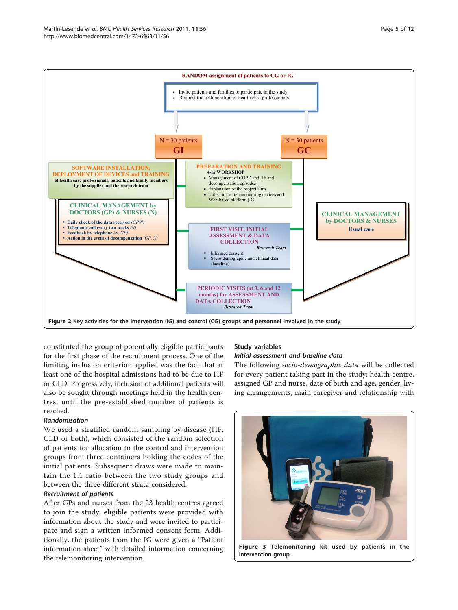<span id="page-4-0"></span>

constituted the group of potentially eligible participants for the first phase of the recruitment process. One of the limiting inclusion criterion applied was the fact that at least one of the hospital admissions had to be due to HF or CLD. Progressively, inclusion of additional patients will also be sought through meetings held in the health centres, until the pre-established number of patients is reached.

### Randomisation

We used a stratified random sampling by disease (HF, CLD or both), which consisted of the random selection of patients for allocation to the control and intervention groups from three containers holding the codes of the initial patients. Subsequent draws were made to maintain the 1:1 ratio between the two study groups and between the three different strata considered.

### Recruitment of patients

After GPs and nurses from the 23 health centres agreed to join the study, eligible patients were provided with information about the study and were invited to participate and sign a written informed consent form. Additionally, the patients from the IG were given a "Patient information sheet" with detailed information concerning the telemonitoring intervention.

# Study variables

# Initial assessment and baseline data

The following socio-demographic data will be collected for every patient taking part in the study: health centre, assigned GP and nurse, date of birth and age, gender, living arrangements, main caregiver and relationship with



Figure 3 Telemonitoring kit used by patients in the intervention group.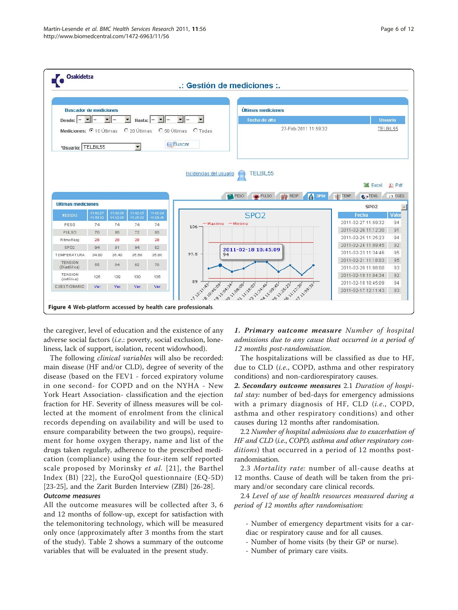<span id="page-5-0"></span>

|                                                                                                       | <b>Buscador de mediciones</b><br>$\mathbf{v}$ |                      |                          |                      |                         | Últimas mediciones                                                                                                                                                                                                             |                                                |                                            |                                                                      |  |
|-------------------------------------------------------------------------------------------------------|-----------------------------------------------|----------------------|--------------------------|----------------------|-------------------------|--------------------------------------------------------------------------------------------------------------------------------------------------------------------------------------------------------------------------------|------------------------------------------------|--------------------------------------------|----------------------------------------------------------------------|--|
| Desde: $\left  - \right $ $\left  - \right $<br>$\vert \cdot \vert$<br>Hasta: $\vert - \vert - \vert$ |                                               |                      |                          |                      | $\overline{ }$          | Fecha de alta                                                                                                                                                                                                                  |                                                |                                            | <b>Usuario</b>                                                       |  |
| Mediciones: C 10 Últimas<br>C 20 Últimas C 50 Últimas<br>C Todas                                      |                                               |                      |                          |                      |                         |                                                                                                                                                                                                                                | 27-Feb-2011 11:59:32                           |                                            | TELBIL55                                                             |  |
|                                                                                                       |                                               |                      |                          |                      |                         |                                                                                                                                                                                                                                |                                                |                                            |                                                                      |  |
| *Usuario: TELBIL55                                                                                    |                                               |                      | $\overline{\phantom{a}}$ |                      | <b>C</b> Buscar         |                                                                                                                                                                                                                                |                                                |                                            |                                                                      |  |
|                                                                                                       |                                               |                      |                          |                      |                         |                                                                                                                                                                                                                                |                                                |                                            |                                                                      |  |
|                                                                                                       |                                               |                      |                          |                      | Incidencias del usuario | TELBIL55<br><b>Coll</b> PULSO<br><b>PESO</b>                                                                                                                                                                                   | $\bigcap$ SPO <sub>2</sub><br><b>GAN</b> RESP. | <b>XX</b> Excel<br>TEMP.<br><b>BO</b> TENS |                                                                      |  |
|                                                                                                       |                                               |                      |                          |                      |                         |                                                                                                                                                                                                                                |                                                | SP <sub>O</sub> 2                          |                                                                      |  |
| <b>MEDIDAS</b>                                                                                        | 11-02-27<br>11:59:32                          | 11-02-26<br>11:12:30 | 11-02-25<br>11:25:23     | 11-02-24<br>11:09:45 |                         | SPO <sub>2</sub>                                                                                                                                                                                                               |                                                | Fecha                                      |                                                                      |  |
| PESO                                                                                                  | 74                                            | 74                   | 74                       | 74                   | 106                     | -Maximo - Minimo                                                                                                                                                                                                               |                                                | 2011-02-27 11:59:32                        |                                                                      |  |
| PULSO                                                                                                 | 70                                            | 80                   | 72                       | 80                   |                         |                                                                                                                                                                                                                                |                                                | 2011-02-26 11:12:30                        |                                                                      |  |
| RitmoResp                                                                                             | 28                                            | 28                   | 28                       | 28                   |                         |                                                                                                                                                                                                                                |                                                | 2011-02-25 11:25:23                        |                                                                      |  |
| SPO <sub>2</sub>                                                                                      | 94                                            | 91                   | 94                       | 92                   |                         | 2011-02-18 10:45:09                                                                                                                                                                                                            |                                                | 2011-02-24 11:09:45                        |                                                                      |  |
|                                                                                                       | 34.80                                         | 35.40                | 35.60                    | 35.80                | 97.5                    | 94                                                                                                                                                                                                                             |                                                | 2011-02-23 11:34:46                        |                                                                      |  |
| <b>TENSION</b>                                                                                        | 55                                            | 64                   | 62                       | 70                   |                         |                                                                                                                                                                                                                                |                                                | 2011-02-21 11:18:03                        |                                                                      |  |
| (Diastólica)                                                                                          |                                               |                      |                          |                      |                         |                                                                                                                                                                                                                                |                                                | 2011-02-20 11:08:00                        | L Pdf<br>J2 OUES.<br>Valor<br>94<br>91<br>94<br>92<br>95<br>95<br>93 |  |
| TENSION<br>(sistólica)                                                                                | 126                                           | 139                  | 130                      | 135                  |                         |                                                                                                                                                                                                                                |                                                | 2011-02-19 11:04:34                        | 92                                                                   |  |
| <b>Ultimas mediciones</b><br>TEMPERATURA<br>CUESTIONARIO                                              | Ver                                           | Ver                  | Ver                      | Ver                  | 89                      | 1 22 th 40 or 2 at 2 days and the contract of the 2 miles of the contract of the contract of the contract of the contract of the contract of the contract of the contract of the contract of the contract of the contract of t |                                                | 2011-02-18 10:45:09<br>2011-02-17 12:11:43 | 94<br>93                                                             |  |

the caregiver, level of education and the existence of any adverse social factors (i.e.: poverty, social exclusion, loneliness, lack of support, isolation, recent widowhood).

The following clinical variables will also be recorded: main disease (HF and/or CLD), degree of severity of the disease (based on the FEV1 - forced expiratory volume in one second- for COPD and on the NYHA - New York Heart Association- classification and the ejection fraction for HF. Severity of illness measures will be collected at the moment of enrolment from the clinical records depending on availability and will be used to ensure comparability between the two groups), requirement for home oxygen therapy, name and list of the drugs taken regularly, adherence to the prescribed medication (compliance) using the four-item self reported scale proposed by Morinsky et al. [[21](#page-10-0)], the Barthel Index (BI) [[22](#page-10-0)], the EuroQol questionnaire (EQ-5D) [[23-25\]](#page-10-0), and the Zarit Burden Interview (ZBI) [[26-28](#page-10-0)].

#### Outcome measures

All the outcome measures will be collected after 3, 6 and 12 months of follow-up, except for satisfaction with the telemonitoring technology, which will be measured only once (approximately after 3 months from the start of the study). Table [2](#page-6-0) shows a summary of the outcome variables that will be evaluated in the present study.

1. Primary outcome measure Number of hospital admissions due to any cause that occurred in a period of 12 months post-randomisation.

The hospitalizations will be classified as due to HF, due to CLD (i.e., COPD, asthma and other respiratory conditions) and non-cardiorespiratory causes.

2. Secondary outcome measures 2.1 Duration of hospital stay: number of bed-days for emergency admissions with a primary diagnosis of HF, CLD (*i.e.*, COPD, asthma and other respiratory conditions) and other causes during 12 months after randomisation.

2.2 Number of hospital admissions due to exacerbation of HF and CLD (i.e., COPD, asthma and other respiratory conditions) that occurred in a period of 12 months postrandomisation.

2.3 Mortality rate: number of all-cause deaths at 12 months. Cause of death will be taken from the primary and/or secondary care clinical records.

2.4 Level of use of health resources measured during a period of 12 months after randomisation:

- Number of emergency department visits for a cardiac or respiratory cause and for all causes.

- Number of home visits (by their GP or nurse).
- Number of primary care visits.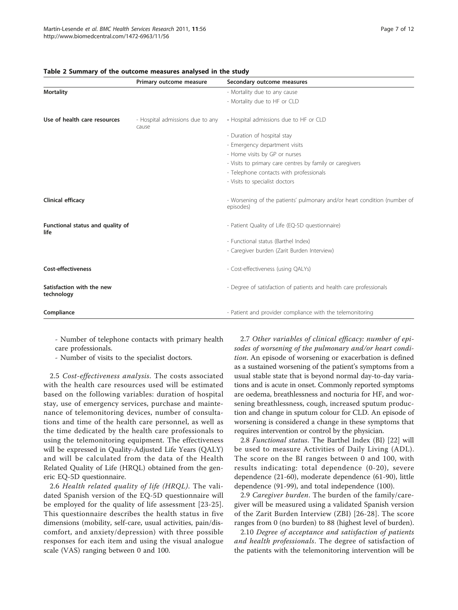|                                          | Primary outcome measure                   | Secondary outcome measures                                                            |
|------------------------------------------|-------------------------------------------|---------------------------------------------------------------------------------------|
| <b>Mortality</b>                         |                                           | - Mortality due to any cause                                                          |
|                                          |                                           | - Mortality due to HF or CLD                                                          |
| Use of health care resources             | - Hospital admissions due to any<br>cause | - Hospital admissions due to HF or CLD                                                |
|                                          |                                           | - Duration of hospital stay                                                           |
|                                          |                                           | - Emergency department visits                                                         |
|                                          |                                           | - Home visits by GP or nurses                                                         |
|                                          |                                           | - Visits to primary care centres by family or caregivers                              |
|                                          |                                           | - Telephone contacts with professionals                                               |
|                                          |                                           | - Visits to specialist doctors                                                        |
| Clinical efficacy                        |                                           | - Worsening of the patients' pulmonary and/or heart condition (number of<br>episodes) |
| Functional status and quality of<br>life |                                           | - Patient Quality of Life (EQ-5D questionnaire)                                       |
|                                          |                                           | - Functional status (Barthel Index)                                                   |
|                                          |                                           | - Caregiver burden (Zarit Burden Interview)                                           |
| <b>Cost-effectiveness</b>                |                                           | - Cost-effectiveness (using QALYs)                                                    |
| Satisfaction with the new<br>technology  |                                           | - Degree of satisfaction of patients and health care professionals                    |
| Compliance                               |                                           | - Patient and provider compliance with the telemonitoring                             |

<span id="page-6-0"></span>Table 2 Summary of the outcome measures analysed in the study

- Number of telephone contacts with primary health care professionals.

- Number of visits to the specialist doctors.

2.5 Cost-effectiveness analysis. The costs associated with the health care resources used will be estimated based on the following variables: duration of hospital stay, use of emergency services, purchase and maintenance of telemonitoring devices, number of consultations and time of the health care personnel, as well as the time dedicated by the health care professionals to using the telemonitoring equipment. The effectiveness will be expressed in Quality-Adjusted Life Years (QALY) and will be calculated from the data of the Health Related Quality of Life (HRQL) obtained from the generic EQ-5D questionnaire.

2.6 Health related quality of life (HRQL). The validated Spanish version of the EQ-5D questionnaire will be employed for the quality of life assessment [[23](#page-10-0)-[25](#page-10-0)]. This questionnaire describes the health status in five dimensions (mobility, self-care, usual activities, pain/discomfort, and anxiety/depression) with three possible responses for each item and using the visual analogue scale (VAS) ranging between 0 and 100.

2.7 Other variables of clinical efficacy: number of episodes of worsening of the pulmonary and/or heart condition. An episode of worsening or exacerbation is defined as a sustained worsening of the patient's symptoms from a usual stable state that is beyond normal day-to-day variations and is acute in onset. Commonly reported symptoms are oedema, breathlessness and nocturia for HF, and worsening breathlessness, cough, increased sputum production and change in sputum colour for CLD. An episode of worsening is considered a change in these symptoms that requires intervention or control by the physician.

2.8 Functional status. The Barthel Index (BI) [\[22](#page-10-0)] will be used to measure Activities of Daily Living (ADL). The score on the BI ranges between 0 and 100, with results indicating: total dependence (0-20), severe dependence (21-60), moderate dependence (61-90), little dependence (91-99), and total independence (100).

2.9 Caregiver burden. The burden of the family/caregiver will be measured using a validated Spanish version of the Zarit Burden Interview (ZBI) [\[26-28\]](#page-10-0). The score ranges from 0 (no burden) to 88 (highest level of burden).

2.10 Degree of acceptance and satisfaction of patients and health professionals. The degree of satisfaction of the patients with the telemonitoring intervention will be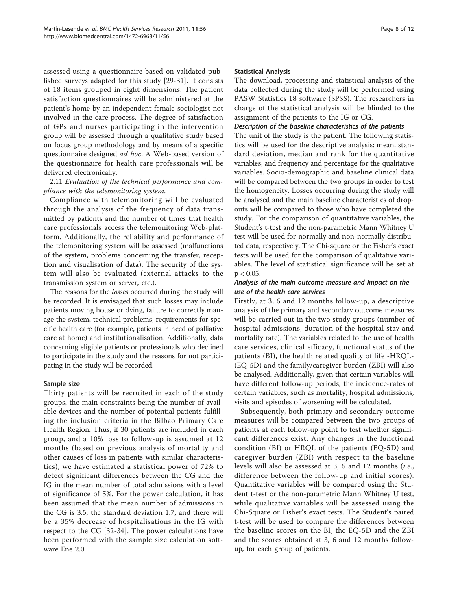assessed using a questionnaire based on validated published surveys adapted for this study [[29-31](#page-10-0)]. It consists of 18 items grouped in eight dimensions. The patient satisfaction questionnaires will be administered at the patient's home by an independent female sociologist not involved in the care process. The degree of satisfaction of GPs and nurses participating in the intervention group will be assessed through a qualitative study based on focus group methodology and by means of a specific questionnaire designed ad hoc. A Web-based version of the questionnaire for health care professionals will be delivered electronically.

2.11 Evaluation of the technical performance and compliance with the telemonitoring system.

Compliance with telemonitoring will be evaluated through the analysis of the frequency of data transmitted by patients and the number of times that health care professionals access the telemonitoring Web-platform. Additionally, the reliability and performance of the telemonitoring system will be assessed (malfunctions of the system, problems concerning the transfer, reception and visualisation of data). The security of the system will also be evaluated (external attacks to the transmission system or server, etc.).

The reasons for the *losses* occurred during the study will be recorded. It is envisaged that such losses may include patients moving house or dying, failure to correctly manage the system, technical problems, requirements for specific health care (for example, patients in need of palliative care at home) and institutionalisation. Additionally, data concerning eligible patients or professionals who declined to participate in the study and the reasons for not participating in the study will be recorded.

#### Sample size

Thirty patients will be recruited in each of the study groups, the main constraints being the number of available devices and the number of potential patients fulfilling the inclusion criteria in the Bilbao Primary Care Health Region. Thus, if 30 patients are included in each group, and a 10% loss to follow-up is assumed at 12 months (based on previous analysis of mortality and other causes of loss in patients with similar characteristics), we have estimated a statistical power of 72% to detect significant differences between the CG and the IG in the mean number of total admissions with a level of significance of 5%. For the power calculation, it has been assumed that the mean number of admissions in the CG is 3.5, the standard deviation 1.7, and there will be a 35% decrease of hospitalisations in the IG with respect to the CG [\[32](#page-11-0)-[34\]](#page-11-0). The power calculations have been performed with the sample size calculation software Ene 2.0.

#### Statistical Analysis

The download, processing and statistical analysis of the data collected during the study will be performed using PASW Statistics 18 software (SPSS). The researchers in charge of the statistical analysis will be blinded to the assignment of the patients to the IG or CG.

#### Description of the baseline characteristics of the patients

The unit of the study is the patient. The following statistics will be used for the descriptive analysis: mean, standard deviation, median and rank for the quantitative variables, and frequency and percentage for the qualitative variables. Socio-demographic and baseline clinical data will be compared between the two groups in order to test the homogeneity. Losses occurring during the study will be analysed and the main baseline characteristics of dropouts will be compared to those who have completed the study. For the comparison of quantitative variables, the Student's t-test and the non-parametric Mann Whitney U test will be used for normally and non-normally distributed data, respectively. The Chi-square or the Fisher's exact tests will be used for the comparison of qualitative variables. The level of statistical significance will be set at  $p < 0.05$ .

#### Analysis of the main outcome measure and impact on the use of the health care services

Firstly, at 3, 6 and 12 months follow-up, a descriptive analysis of the primary and secondary outcome measures will be carried out in the two study groups (number of hospital admissions, duration of the hospital stay and mortality rate). The variables related to the use of health care services, clinical efficacy, functional status of the patients (BI), the health related quality of life -HRQL- (EQ-5D) and the family/caregiver burden (ZBI) will also be analysed. Additionally, given that certain variables will have different follow-up periods, the incidence-rates of certain variables, such as mortality, hospital admissions, visits and episodes of worsening will be calculated.

Subsequently, both primary and secondary outcome measures will be compared between the two groups of patients at each follow-up point to test whether significant differences exist. Any changes in the functional condition (BI) or HRQL of the patients (EQ-5D) and caregiver burden (ZBI) with respect to the baseline levels will also be assessed at 3, 6 and 12 months (i.e., difference between the follow-up and initial scores). Quantitative variables will be compared using the Student t-test or the non-parametric Mann Whitney U test, while qualitative variables will be assessed using the Chi-Square or Fisher's exact tests. The Student's paired t-test will be used to compare the differences between the baseline scores on the BI, the EQ-5D and the ZBI and the scores obtained at 3, 6 and 12 months followup, for each group of patients.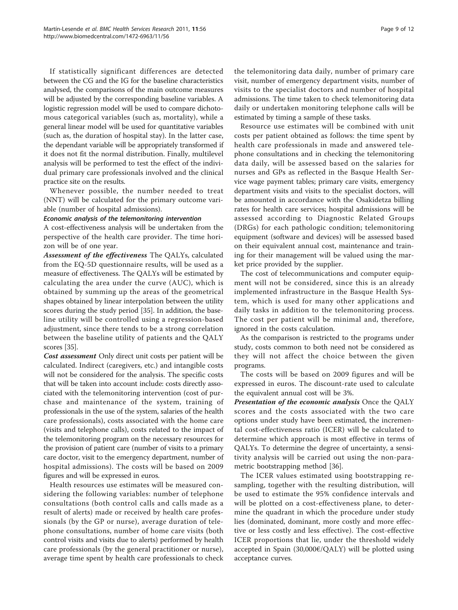If statistically significant differences are detected between the CG and the IG for the baseline characteristics analysed, the comparisons of the main outcome measures will be adjusted by the corresponding baseline variables. A logistic regression model will be used to compare dichotomous categorical variables (such as, mortality), while a general linear model will be used for quantitative variables (such as, the duration of hospital stay). In the latter case, the dependant variable will be appropriately transformed if it does not fit the normal distribution. Finally, multilevel analysis will be performed to test the effect of the individual primary care professionals involved and the clinical practice site on the results.

Whenever possible, the number needed to treat (NNT) will be calculated for the primary outcome variable (number of hospital admissions).

#### Economic analysis of the telemonitoring intervention

A cost-effectiveness analysis will be undertaken from the perspective of the health care provider. The time horizon will be of one year.

Assessment of the effectiveness The QALYs, calculated from the EQ-5D questionnaire results, will be used as a measure of effectiveness. The QALYs will be estimated by calculating the area under the curve (AUC), which is obtained by summing up the areas of the geometrical shapes obtained by linear interpolation between the utility scores during the study period [\[35\]](#page-11-0). In addition, the baseline utility will be controlled using a regression-based adjustment, since there tends to be a strong correlation between the baseline utility of patients and the QALY scores [[35](#page-11-0)].

**Cost assessment** Only direct unit costs per patient will be calculated. Indirect (caregivers, etc.) and intangible costs will not be considered for the analysis. The specific costs that will be taken into account include: costs directly associated with the telemonitoring intervention (cost of purchase and maintenance of the system, training of professionals in the use of the system, salaries of the health care professionals), costs associated with the home care (visits and telephone calls), costs related to the impact of the telemonitoring program on the necessary resources for the provision of patient care (number of visits to a primary care doctor, visit to the emergency department, number of hospital admissions). The costs will be based on 2009 figures and will be expressed in euros.

Health resources use estimates will be measured considering the following variables: number of telephone consultations (both control calls and calls made as a result of alerts) made or received by health care professionals (by the GP or nurse), average duration of telephone consultations, number of home care visits (both control visits and visits due to alerts) performed by health care professionals (by the general practitioner or nurse), average time spent by health care professionals to check

the telemonitoring data daily, number of primary care visit, number of emergency department visits, number of visits to the specialist doctors and number of hospital admissions. The time taken to check telemonitoring data daily or undertaken monitoring telephone calls will be estimated by timing a sample of these tasks.

Resource use estimates will be combined with unit costs per patient obtained as follows: the time spent by health care professionals in made and answered telephone consultations and in checking the telemonitoring data daily, will be assessed based on the salaries for nurses and GPs as reflected in the Basque Health Service wage payment tables; primary care visits, emergency department visits and visits to the specialist doctors, will be amounted in accordance with the Osakidetza billing rates for health care services; hospital admissions will be assessed according to Diagnostic Related Groups (DRGs) for each pathologic condition; telemonitoring equipment (software and devices) will be assessed based on their equivalent annual cost, maintenance and training for their management will be valued using the market price provided by the supplier.

The cost of telecommunications and computer equipment will not be considered, since this is an already implemented infrastructure in the Basque Health System, which is used for many other applications and daily tasks in addition to the telemonitoring process. The cost per patient will be minimal and, therefore, ignored in the costs calculation.

As the comparison is restricted to the programs under study, costs common to both need not be considered as they will not affect the choice between the given programs.

The costs will be based on 2009 figures and will be expressed in euros. The discount-rate used to calculate the equivalent annual cost will be 3%.

Presentation of the economic analysis Once the QALY scores and the costs associated with the two care options under study have been estimated, the incremental cost-effectiveness ratio (ICER) will be calculated to determine which approach is most effective in terms of QALYs. To determine the degree of uncertainty, a sensitivity analysis will be carried out using the non-parametric bootstrapping method [\[36](#page-11-0)].

The ICER values estimated using bootstrapping resampling, together with the resulting distribution, will be used to estimate the 95% confidence intervals and will be plotted on a cost-effectiveness plane, to determine the quadrant in which the procedure under study lies (dominated, dominant, more costly and more effective or less costly and less effective). The cost-effective ICER proportions that lie, under the threshold widely accepted in Spain (30,000€/QALY) will be plotted using acceptance curves.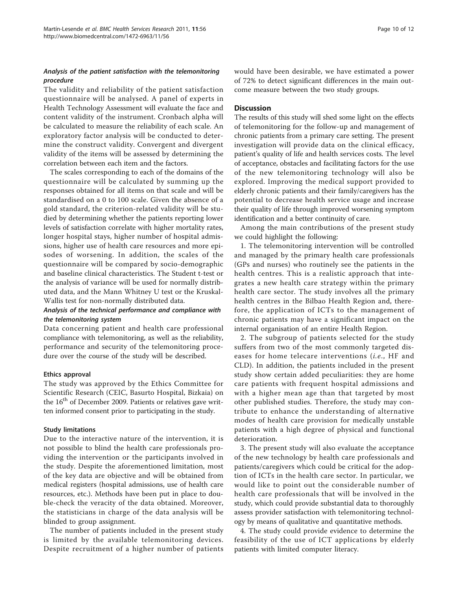### Analysis of the patient satisfaction with the telemonitoring procedure

The validity and reliability of the patient satisfaction questionnaire will be analysed. A panel of experts in Health Technology Assessment will evaluate the face and content validity of the instrument. Cronbach alpha will be calculated to measure the reliability of each scale. An exploratory factor analysis will be conducted to determine the construct validity. Convergent and divergent validity of the items will be assessed by determining the correlation between each item and the factors.

The scales corresponding to each of the domains of the questionnaire will be calculated by summing up the responses obtained for all items on that scale and will be standardised on a 0 to 100 scale. Given the absence of a gold standard, the criterion-related validity will be studied by determining whether the patients reporting lower levels of satisfaction correlate with higher mortality rates, longer hospital stays, higher number of hospital admissions, higher use of health care resources and more episodes of worsening. In addition, the scales of the questionnaire will be compared by socio-demographic and baseline clinical characteristics. The Student t-test or the analysis of variance will be used for normally distributed data, and the Mann Whitney U test or the Kruskal-Wallis test for non-normally distributed data.

# Analysis of the technical performance and compliance with the telemonitoring system

Data concerning patient and health care professional compliance with telemonitoring, as well as the reliability, performance and security of the telemonitoring procedure over the course of the study will be described.

### Ethics approval

The study was approved by the Ethics Committee for Scientific Research (CEIC, Basurto Hospital, Bizkaia) on the 16<sup>th</sup> of December 2009. Patients or relatives gave written informed consent prior to participating in the study.

#### Study limitations

Due to the interactive nature of the intervention, it is not possible to blind the health care professionals providing the intervention or the participants involved in the study. Despite the aforementioned limitation, most of the key data are objective and will be obtained from medical registers (hospital admissions, use of health care resources, etc.). Methods have been put in place to double-check the veracity of the data obtained. Moreover, the statisticians in charge of the data analysis will be blinded to group assignment.

The number of patients included in the present study is limited by the available telemonitoring devices. Despite recruitment of a higher number of patients would have been desirable, we have estimated a power of 72% to detect significant differences in the main outcome measure between the two study groups.

#### **Discussion**

The results of this study will shed some light on the effects of telemonitoring for the follow-up and management of chronic patients from a primary care setting. The present investigation will provide data on the clinical efficacy, patient's quality of life and health services costs. The level of acceptance, obstacles and facilitating factors for the use of the new telemonitoring technology will also be explored. Improving the medical support provided to elderly chronic patients and their family/caregivers has the potential to decrease health service usage and increase their quality of life through improved worsening symptom identification and a better continuity of care.

Among the main contributions of the present study we could highlight the following:

1. The telemonitoring intervention will be controlled and managed by the primary health care professionals (GPs and nurses) who routinely see the patients in the health centres. This is a realistic approach that integrates a new health care strategy within the primary health care sector. The study involves all the primary health centres in the Bilbao Health Region and, therefore, the application of ICTs to the management of chronic patients may have a significant impact on the internal organisation of an entire Health Region.

2. The subgroup of patients selected for the study suffers from two of the most commonly targeted diseases for home telecare interventions (i.e., HF and CLD). In addition, the patients included in the present study show certain added peculiarities: they are home care patients with frequent hospital admissions and with a higher mean age than that targeted by most other published studies. Therefore, the study may contribute to enhance the understanding of alternative modes of health care provision for medically unstable patients with a high degree of physical and functional deterioration.

3. The present study will also evaluate the acceptance of the new technology by health care professionals and patients/caregivers which could be critical for the adoption of ICTs in the health care sector. In particular, we would like to point out the considerable number of health care professionals that will be involved in the study, which could provide substantial data to thoroughly assess provider satisfaction with telemonitoring technology by means of qualitative and quantitative methods.

4. The study could provide evidence to determine the feasibility of the use of ICT applications by elderly patients with limited computer literacy.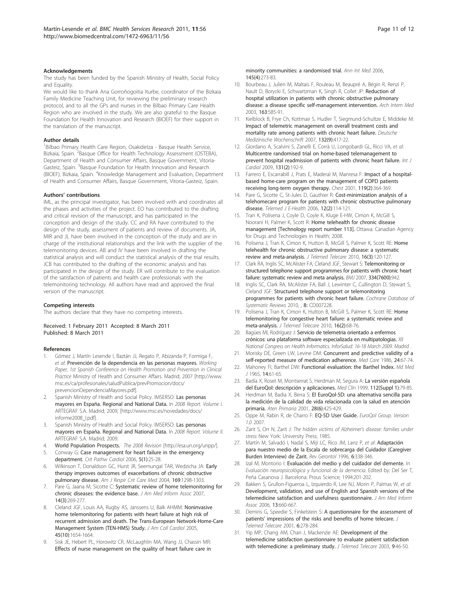#### <span id="page-10-0"></span>Acknowledgements

The study has been funded by the Spanish Ministry of Health, Social Policy and Equality

We would like to thank Ana Gorroñogoitia Iturbe, coordinator of the Bizkaia Family Medicine Teaching Unit, for reviewing the preliminary research protocol, and to all the GPs and nurses in the Bilbao Primary Care Health Region who are involved in the study. We are also grateful to the Basque Foundation for Health Innovation and Research (BIOEF) for their support in the translation of the manuscript.

#### Author details

<sup>1</sup> Bilbao Primary Health Care Region, Osakidetza - Basque Health Service, Bizkaia, Spain. <sup>2</sup>Basque Office for Health Technology Assessment (OSTEBA), Department of Health and Consumer Affairs, Basque Government, Vitoria-Gasteiz, Spain. <sup>3</sup>Basque Foundation for Health Innovation and Research (BIOEF), Bizkaia, Spain. <sup>4</sup>Knowledge Management and Evaluation, Department of Health and Consumer Affairs, Basque Government, Vitoria-Gasteiz, Spain.

#### Authors' contributions

IML, as the principal investigator, has been involved with and coordinates all the phases and activities of the project. EO has contributed to the drafting and critical revision of the manuscript, and has participated in the conception and design of the study. CC and RA have contributed to the design of the study, assessment of patients and review of documents. JA, MIR and JL have been involved in the conception of the study and are in charge of the institutional relationships and the link with the supplier of the telemonitoring devices. AB and IV have been involved in drafting the statistical analysis and will conduct the statistical analysis of the trial results. JCB has contributed to the drafting of the economic analysis and has participated in the design of the study. ER will contribute to the evaluation of the satisfaction of patients and health care professionals with the telemonitoring technology. All authors have read and approved the final version of the manuscript.

#### Competing interests

The authors declare that they have no competing interests.

Received: 1 February 2011 Accepted: 8 March 2011 Published: 8 March 2011

#### References

- 1. Gómez J, Martín Lesende I, Baztán JJ, Regato P, Abizanda P, Formiga F, et al: Prevención de la dependencia en las personas mayores. Working Paper, 1st Spanish Conference on Health Promotion and Prevention in Clinical Practice Ministry of Health and Consumer Affairs. Madrid; 2007 [[http://www.](http://www.msc.es/ca/profesionales/saludPublica/prevPromocion/docs/prevencionDependenciaMayores.pdf) [msc.es/ca/profesionales/saludPublica/prevPromocion/docs/](http://www.msc.es/ca/profesionales/saludPublica/prevPromocion/docs/prevencionDependenciaMayores.pdf) [prevencionDependenciaMayores.pdf](http://www.msc.es/ca/profesionales/saludPublica/prevPromocion/docs/prevencionDependenciaMayores.pdf)].
- 2. Spanish Ministry of Health and Social Policy. IMSERSO: Las personas mayores en España. Regional and National Data. In 2008 Report. Volume I. ARTEGRAF S.A. Madrid; 2009, [\[http://www.msc.es/novedades/docs/](http://www.msc.es/novedades/docs/informe2008_I.pdf) [informe2008\\_I.pdf](http://www.msc.es/novedades/docs/informe2008_I.pdf)].
- 3. Spanish Ministry of Health and Social Policy. IMSERSO: Las personas mayores en España. Regional and National Data. In 2008 Report. Volume II. ARTEGRAF S.A. Madrid; 2009.
- 4. World Population Prospects. The 2008 Revision [\[http://esa.un.org/unpp/\]](http://esa.un.org/unpp/).
- 5. Conway G: [Case management for heart failure in the emergency](http://www.ncbi.nlm.nih.gov/pubmed/18340214?dopt=Abstract) [department.](http://www.ncbi.nlm.nih.gov/pubmed/18340214?dopt=Abstract) Crit Pathw Cardiol 2006, 5(1):25-28.
- 6. Wilkinson T, Donaldson GC, Hurst JR, Seemungal TAR, Wedzicha JA: [Early](http://www.ncbi.nlm.nih.gov/pubmed/14990395?dopt=Abstract) [therapy improves outcomes of exacerbations of chronic obstructive](http://www.ncbi.nlm.nih.gov/pubmed/14990395?dopt=Abstract) [pulmonary disease.](http://www.ncbi.nlm.nih.gov/pubmed/14990395?dopt=Abstract) Am J Respir Crit Care Med 2004, 169:1298-1303.
- 7. Pare G, Jaana M, Sicotte C: [Systematic review of home telemonitoring for](http://www.ncbi.nlm.nih.gov/pubmed/17329725?dopt=Abstract) [chronic diseases: the evidence base.](http://www.ncbi.nlm.nih.gov/pubmed/17329725?dopt=Abstract) J Am Med Inform Assoc 2007, 14(3):269-277.
- Cleland JGF, Louis AA, Rugby AS, Janssens U, Balk AHMM: [Noninvasive](http://www.ncbi.nlm.nih.gov/pubmed/15893183?dopt=Abstract) [home telemonitoring for patients with heart failure at high risk of](http://www.ncbi.nlm.nih.gov/pubmed/15893183?dopt=Abstract) [recurrent admission and death. The Trans-European Network-Home-Care](http://www.ncbi.nlm.nih.gov/pubmed/15893183?dopt=Abstract) [Management System \(TEN-HMS\) Study.](http://www.ncbi.nlm.nih.gov/pubmed/15893183?dopt=Abstract) J Am Coll Cardiol 2005, 45(10):1654-1664.
- 9. Sisk JE, Hebert PL, Horowitz CR, McLaughlin MA, Wang JJ, Chassin MR: [Effects of nurse management on the quality of heart failure care in](http://www.ncbi.nlm.nih.gov/pubmed/16908918?dopt=Abstract)

[minority communities: a randomised trial.](http://www.ncbi.nlm.nih.gov/pubmed/16908918?dopt=Abstract) Ann Int Med 2006, 145(4):273-83.

- 10. Bourbeau J, Julien M, Maltais F, Rouleau M, Beaupré A, Bégin R, Renzi P, Nault D, Borycki E, Schwartzman K, Singh R, Collet JP: [Reduction of](http://www.ncbi.nlm.nih.gov/pubmed/12622605?dopt=Abstract) [hospital utilization in patients with chronic obstructive pulmonary](http://www.ncbi.nlm.nih.gov/pubmed/12622605?dopt=Abstract) [disease: a disease specific self-management intervention.](http://www.ncbi.nlm.nih.gov/pubmed/12622605?dopt=Abstract) Arch Intern Med 2003, 163:585-91.
- 11. Kielblock B, Frye Ch, Kottmair S, Hudler T, Siegmund-Schultze E, Middeke M: [Impact of telemetric management on overall treatment costs and](http://www.ncbi.nlm.nih.gov/pubmed/17315117?dopt=Abstract) [mortality rate among patients with chronic heart failure.](http://www.ncbi.nlm.nih.gov/pubmed/17315117?dopt=Abstract) Deutsche Medizinische Wochenschrift 2007, 132(9):417-22.
- 12. Giordano A, Scalvini S, Zanelli E, Corrà U, Longobardi GL, Ricci VA, et al: [Multicentre randomised trial on home-based telemanagement to](http://www.ncbi.nlm.nih.gov/pubmed/18222552?dopt=Abstract) [prevent hospital readmission of patients with chronic heart failure.](http://www.ncbi.nlm.nih.gov/pubmed/18222552?dopt=Abstract) Int J Cardiol 2009, 131(2):192-9.
- 13. Farrero E, Escarrabill J, Prats E, Maderal M, Manresa F: [Impact of a hospital](http://www.ncbi.nlm.nih.gov/pubmed/11171710?dopt=Abstract)[based home-care program on the management of COPD patients](http://www.ncbi.nlm.nih.gov/pubmed/11171710?dopt=Abstract) [receiving long-term oxygen therapy.](http://www.ncbi.nlm.nih.gov/pubmed/11171710?dopt=Abstract) Chest 2001, 119(2):364-369.
- 14. Pare G, Sicotte C, St-Jules D, Gauthier R: [Cost-minimization analysis of a](http://www.ncbi.nlm.nih.gov/pubmed/16620165?dopt=Abstract) [telehomecare program for patients with chronic obstructive pulmonary](http://www.ncbi.nlm.nih.gov/pubmed/16620165?dopt=Abstract) [disease.](http://www.ncbi.nlm.nih.gov/pubmed/16620165?dopt=Abstract) Telemed J E-Health 2006, 12(2):114-121.
- 15. Tran K, Polisena J, Coyle D, Coyle K, Kluge E-HW, Cimon K, McGill S, Noorani H, Palmer K, Scott R: Home telehealth for chronic disease management [Technology report number 113]. Ottawa: Canadian Agency for Drugs and Technologies in Health; 2008.
- 16. Polisena J, Tran K, Cimon K, Hutton B, McGill S, Palmer K, Scott RE: [Home](http://www.ncbi.nlm.nih.gov/pubmed/20197355?dopt=Abstract) [telehealth for chronic obstructive pulmonary disease: a systematic](http://www.ncbi.nlm.nih.gov/pubmed/20197355?dopt=Abstract) [review and meta-analysis.](http://www.ncbi.nlm.nih.gov/pubmed/20197355?dopt=Abstract) J Telemed Telecare 2010, 16(3):120-127.
- 17. Clark RA, Inglis SC, McAlister FA, Cleland JGF, Stewart S: [Telemonitoring or](http://www.ncbi.nlm.nih.gov/pubmed/17426062?dopt=Abstract) [structured telephone support programmes for patients with chronic heart](http://www.ncbi.nlm.nih.gov/pubmed/17426062?dopt=Abstract) [failure: systematic review and meta analysis.](http://www.ncbi.nlm.nih.gov/pubmed/17426062?dopt=Abstract) BMJ 2007, 334(7600):942.
- 18. Inglis SC, Clark RA, McAlister FA, Ball J, Lewinter C, Cullington D, Stewart S, Cleland JGF: Structured telephone support or telemonitoring programmes for patients with chronic heart failure. Cochrane Database of Systematic Reviews 2010, , 8: CD007228.
- 19. Polisena J, Tran K, Cimon K, Hutton B, McGill S, Palmer K, Scott RE: [Home](http://www.ncbi.nlm.nih.gov/pubmed/20008054?dopt=Abstract) [telemonitoring for congestive heart failure: a systematic review and](http://www.ncbi.nlm.nih.gov/pubmed/20008054?dopt=Abstract) [meta-analysis.](http://www.ncbi.nlm.nih.gov/pubmed/20008054?dopt=Abstract) J Telemed Telecare 2010, 16(2):68-76.
- 20. Bagües MI, Rodríguez J: Servicio de telemetria orientado a enfermos crónicos: una plataforma software especializada en multipatologias. XII National Congress on Health Informatics. InforSalud: 16-18 March 2009. Madrid .
- 21. Morisky DE, Green LW, Levine DM: [Concurrent and predictive validity of a](http://www.ncbi.nlm.nih.gov/pubmed/3945130?dopt=Abstract) [self-reported measure of medication adherence.](http://www.ncbi.nlm.nih.gov/pubmed/3945130?dopt=Abstract) Med Care 1986, 24:67-74.
- 22. Mahoney FI, Barthel DW: Functional evaluation: the Barthel Index. Md Med J 1965, 14:61-65.
- 23. Badía X, Roset M, Montserrat S, Herdman M, Segura A: La versión española del EuroQol: descripción y aplicaciones. Med Clín 1999, 112(Suppl 1):79-85.
- 24. Herdman M, Badia X, Berra S: [El EuroQol-5D: una alternativa sencilla para](http://www.ncbi.nlm.nih.gov/pubmed/11602124?dopt=Abstract) [la medición de la calidad de vida relacionada con la salud en atención](http://www.ncbi.nlm.nih.gov/pubmed/11602124?dopt=Abstract) [primaria.](http://www.ncbi.nlm.nih.gov/pubmed/11602124?dopt=Abstract) Aten Primaria 2001, 28(6):425-429.
- 25. Oppe M, Rabin R, de Charro F: EQ-5D User Guide. EuroQol Group. Version 1.0 2007.
- 26. Zarit S, Orr N, Zarit J: The hidden victims of Alzheimer's disease: families under stress New York: University Press; 1985.
- 27. Martín M, Salvadó I, Nadal S, Miji LC, Rico JM, Lanz P, et al: Adaptación para nuestro medio de la Escala de sobrecarga del Cuidador (Caregiver Burden Interview) de Zarit. Rev Gerontol 1996, 6:338-346.
- 28. Izal M, Montorio I: Evaluación del medio y del cuidador del demente. In Evaluación neuropsicológica y funcional de la demencia. Edited by: Del Ser T, Peña Casanova J. Barcelona: Prous Science; 1994:201-202.
- 29. Bakken S, Grullon-Figueroa L, Izquierdo R, Lee NJ, Morin P, Palmas W, et al: [Development, validation, and use of English and Spanish versions of the](http://www.ncbi.nlm.nih.gov/pubmed/16929036?dopt=Abstract) [telemedicine satisfaction and usefulness questionnaire.](http://www.ncbi.nlm.nih.gov/pubmed/16929036?dopt=Abstract) J Am Med Inform Assoc 2006, 13:660-667.
- 30. Demiris G, Speedie S, Finkelstein S: A questionnaire for the assessment of patients' impressions of the risks and benefits of home telecare. J Telemed Telecare 2001, 6:278-284.
- 31. Yip MP, Chang AM, Chan J, Mackenzie AE: [Development of the](http://www.ncbi.nlm.nih.gov/pubmed/12641893?dopt=Abstract) [telemedicine satisfaction questionnaire to evaluate patient satisfaction](http://www.ncbi.nlm.nih.gov/pubmed/12641893?dopt=Abstract) [with telemedicine: a preliminary study.](http://www.ncbi.nlm.nih.gov/pubmed/12641893?dopt=Abstract) J Telemed Telecare 2003, 9:46-50.